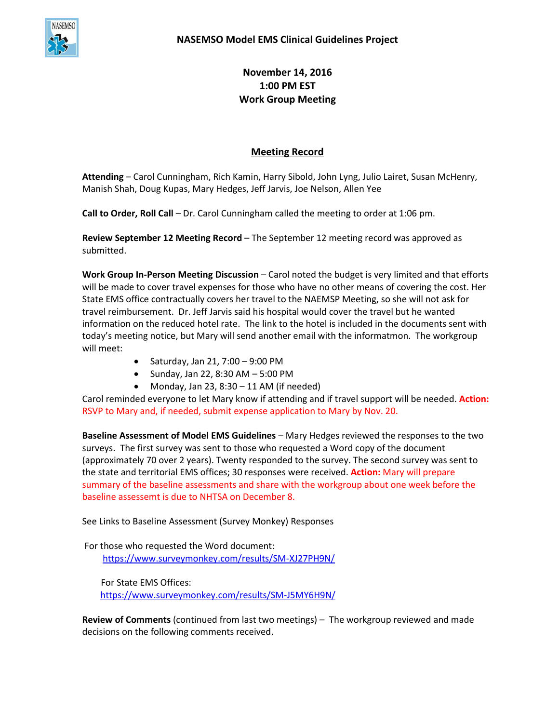

**November 14, 2016 1:00 PM EST Work Group Meeting**

# **Meeting Record**

**Attending** – Carol Cunningham, Rich Kamin, Harry Sibold, John Lyng, Julio Lairet, Susan McHenry, Manish Shah, Doug Kupas, Mary Hedges, Jeff Jarvis, Joe Nelson, Allen Yee

**Call to Order, Roll Call** – Dr. Carol Cunningham called the meeting to order at 1:06 pm.

**Review September 12 Meeting Record** – The September 12 meeting record was approved as submitted.

**Work Group In-Person Meeting Discussion** – Carol noted the budget is very limited and that efforts will be made to cover travel expenses for those who have no other means of covering the cost. Her State EMS office contractually covers her travel to the NAEMSP Meeting, so she will not ask for travel reimbursement. Dr. Jeff Jarvis said his hospital would cover the travel but he wanted information on the reduced hotel rate. The link to the hotel is included in the documents sent with today's meeting notice, but Mary will send another email with the informatmon. The workgroup will meet:

- Saturday, Jan 21,  $7:00 9:00$  PM
- $\bullet$  Sunday, Jan 22, 8:30 AM  $-5:00$  PM
- Monday, Jan 23,  $8:30 11$  AM (if needed)

Carol reminded everyone to let Mary know if attending and if travel support will be needed. **Action:** RSVP to Mary and, if needed, submit expense application to Mary by Nov. 20.

**Baseline Assessment of Model EMS Guidelines** – Mary Hedges reviewed the responses to the two surveys. The first survey was sent to those who requested a Word copy of the document (approximately 70 over 2 years). Twenty responded to the survey. The second survey was sent to the state and territorial EMS offices; 30 responses were received. **Action:** Mary will prepare summary of the baseline assessments and share with the workgroup about one week before the baseline assessemt is due to NHTSA on December 8.

See Links to Baseline Assessment (Survey Monkey) Responses

For those who requested the Word document: <https://www.surveymonkey.com/results/SM-XJ27PH9N/>

 For State EMS Offices: <https://www.surveymonkey.com/results/SM-J5MY6H9N/>

**Review of Comments** (continued from last two meetings) – The workgroup reviewed and made decisions on the following comments received.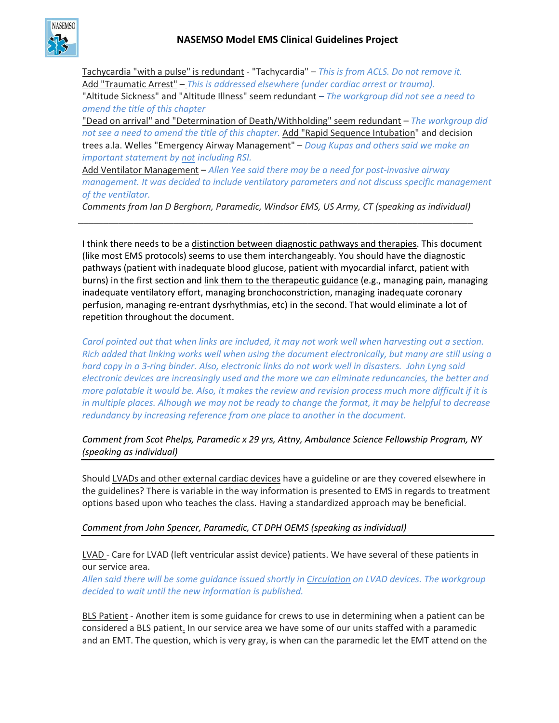

Tachycardia "with a pulse" is redundant - "Tachycardia" – *This is from ACLS. Do not remove it.* Add "Traumatic Arrest" – *This is addressed elsewhere (under cardiac arrest or trauma).* "Altitude Sickness" and "Altitude Illness" seem redundant *– The workgroup did not see a need to amend the title of this chapter*

"Dead on arrival" and "Determination of Death/Withholding" seem redundant – *The workgroup did not see a need to amend the title of this chapter.* Add "Rapid Sequence Intubation" and decision trees a.la. Welles "Emergency Airway Management" – *Doug Kupas and others said we make an important statement by not including RSI.*

Add Ventilator Management – *Allen Yee said there may be a need for post-invasive airway management. It was decided to include ventilatory parameters and not discuss specific management of the ventilator.*

*Comments from Ian D Berghorn, Paramedic, Windsor EMS, US Army, CT (speaking as individual) \_\_\_\_\_\_\_\_\_\_\_\_\_\_\_\_\_\_\_\_\_\_\_\_\_\_\_\_\_\_\_\_\_\_\_\_\_\_\_\_\_\_\_\_\_\_\_\_\_\_\_\_\_\_\_\_\_\_\_\_\_\_\_\_\_\_\_\_\_\_\_\_\_\_\_\_\_\_\_*

I think there needs to be a distinction between diagnostic pathways and therapies. This document (like most EMS protocols) seems to use them interchangeably. You should have the diagnostic pathways (patient with inadequate blood glucose, patient with myocardial infarct, patient with burns) in the first section and link them to the therapeutic guidance (e.g., managing pain, managing inadequate ventilatory effort, managing bronchoconstriction, managing inadequate coronary perfusion, managing re-entrant dysrhythmias, etc) in the second. That would eliminate a lot of repetition throughout the document.

*Carol pointed out that when links are included, it may not work well when harvesting out a section. Rich added that linking works well when using the document electronically, but many are still using a hard copy in a 3-ring binder. Also, electronic links do not work well in disasters. John Lyng said electronic devices are increasingly used and the more we can eliminate reduncancies, the better and more palatable it would be. Also, it makes the review and revision process much more difficult if it is in multiple places. Alhough we may not be ready to change the format, it may be helpful to decrease redundancy by increasing reference from one place to another in the document.*

*Comment from Scot Phelps, Paramedic x 29 yrs, Attny, Ambulance Science Fellowship Program, NY (speaking as individual)*

Should LVADs and other external cardiac devices have a guideline or are they covered elsewhere in the guidelines? There is variable in the way information is presented to EMS in regards to treatment options based upon who teaches the class. Having a standardized approach may be beneficial.

## *Comment from John Spencer, Paramedic, CT DPH OEMS (speaking as individual)*

LVAD - Care for LVAD (left ventricular assist device) patients. We have several of these patients in our service area.

*Allen said there will be some guidance issued shortly in Circulation on LVAD devices. The workgroup decided to wait until the new information is published.*

BLS Patient - Another item is some guidance for crews to use in determining when a patient can be considered a BLS patient. In our service area we have some of our units staffed with a paramedic and an EMT. The question, which is very gray, is when can the paramedic let the EMT attend on the